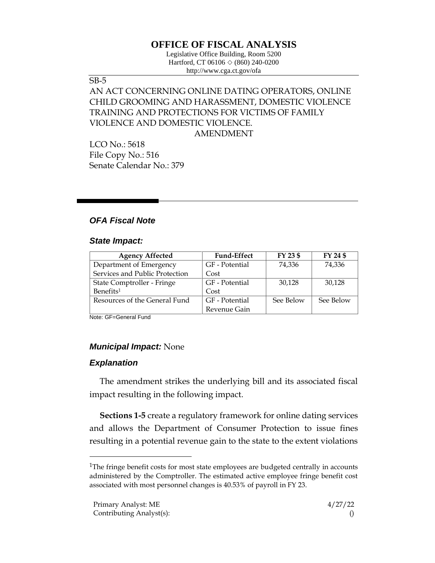# **OFFICE OF FISCAL ANALYSIS**

Legislative Office Building, Room 5200 Hartford, CT 06106  $\Diamond$  (860) 240-0200 http://www.cga.ct.gov/ofa

#### SB-5

## AN ACT CONCERNING ONLINE DATING OPERATORS, ONLINE CHILD GROOMING AND HARASSMENT, DOMESTIC VIOLENCE TRAINING AND PROTECTIONS FOR VICTIMS OF FAMILY VIOLENCE AND DOMESTIC VIOLENCE. AMENDMENT

LCO No.: 5618 File Copy No.: 516 Senate Calendar No.: 379

### *OFA Fiscal Note*

#### *State Impact:*

| <b>Agency Affected</b>         | <b>Fund-Effect</b> | FY 23 \$  | FY 24 \$  |
|--------------------------------|--------------------|-----------|-----------|
| Department of Emergency        | GF - Potential     | 74,336    | 74,336    |
| Services and Public Protection | Cost               |           |           |
| State Comptroller - Fringe     | GF - Potential     | 30,128    | 30,128    |
| Benefits <sup>1</sup>          | Cost               |           |           |
| Resources of the General Fund  | GF - Potential     | See Below | See Below |
|                                | Revenue Gain       |           |           |

Note: GF=General Fund

#### *Municipal Impact:* None

### *Explanation*

The amendment strikes the underlying bill and its associated fiscal impact resulting in the following impact.

**Sections 1-5** create a regulatory framework for online dating services and allows the Department of Consumer Protection to issue fines resulting in a potential revenue gain to the state to the extent violations

<sup>&</sup>lt;sup>1</sup>The fringe benefit costs for most state employees are budgeted centrally in accounts administered by the Comptroller. The estimated active employee fringe benefit cost associated with most personnel changes is 40.53% of payroll in FY 23.